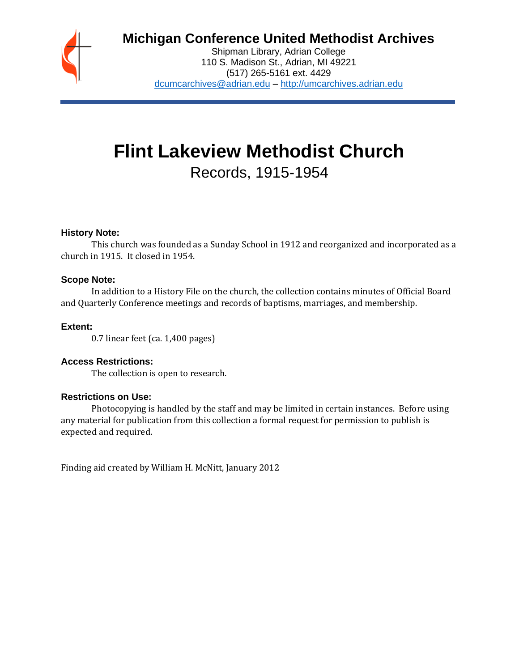

# **Michigan Conference United Methodist Archives**

Shipman Library, Adrian College 110 S. Madison St., Adrian, MI 49221 (517) 265-5161 ext. 4429 [dcumcarchives@adrian.edu](mailto:dcumcarchives@adrian.edu) – [http://umcarchives.adrian.edu](http://umcarchives.adrian.edu/)

# **Flint Lakeview Methodist Church** Records, 1915-1954

#### **History Note:**

This church was founded as a Sunday School in 1912 and reorganized and incorporated as a church in 1915. It closed in 1954.

#### **Scope Note:**

In addition to a History File on the church, the collection contains minutes of Official Board and Quarterly Conference meetings and records of baptisms, marriages, and membership.

# **Extent:**

0.7 linear feet (ca. 1,400 pages)

#### **Access Restrictions:**

The collection is open to research.

#### **Restrictions on Use:**

Photocopying is handled by the staff and may be limited in certain instances. Before using any material for publication from this collection a formal request for permission to publish is expected and required.

Finding aid created by William H. McNitt, January 2012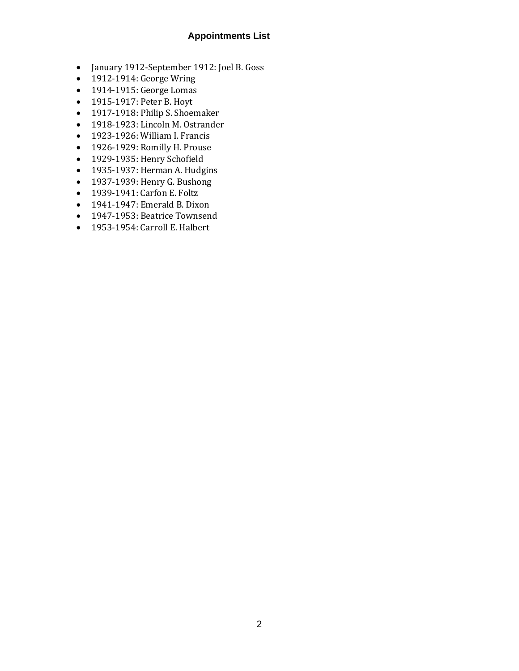# **Appointments List**

- January 1912-September 1912: Joel B. Goss
- 1912-1914: George Wring
- 1914-1915: George Lomas
- 1915-1917: Peter B. Hoyt
- 1917-1918: Philip S. Shoemaker
- 1918-1923: Lincoln M. Ostrander
- 1923-1926: William I. Francis
- 1926-1929: Romilly H. Prouse
- 1929-1935: Henry Schofield
- 1935-1937: Herman A. Hudgins
- 1937-1939: Henry G. Bushong
- 1939-1941: Carfon E. Foltz
- 1941-1947: Emerald B. Dixon
- 1947-1953: Beatrice Townsend
- 1953-1954: Carroll E. Halbert